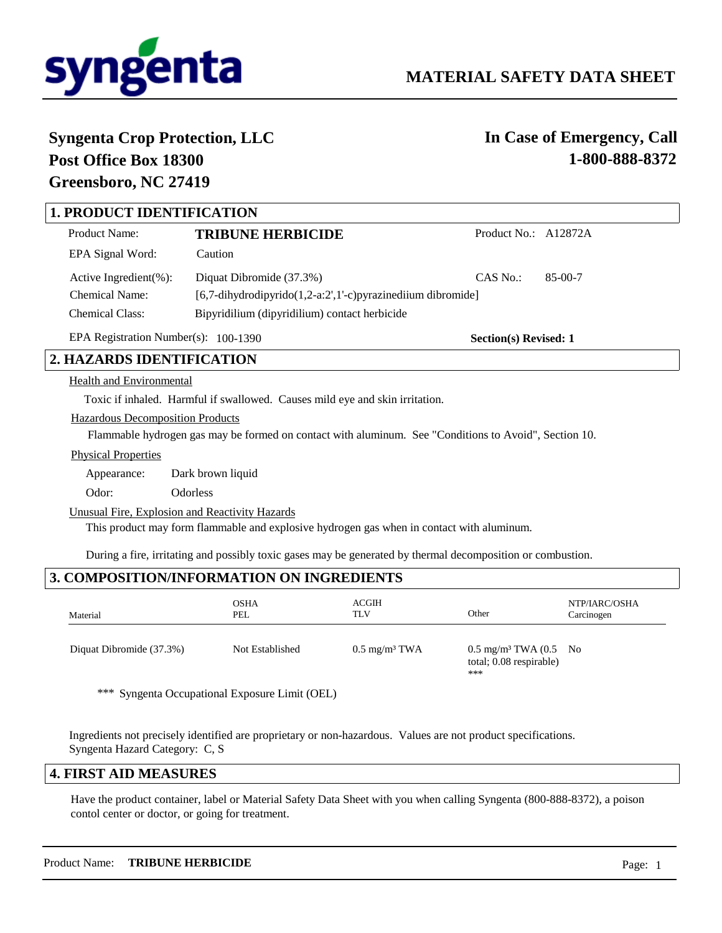

# **Syngenta Crop Protection, LLC Post Office Box 18300 Greensboro, NC 27419**

**In Case of Emergency, Call 1-800-888-8372**

# **1. PRODUCT IDENTIFICATION**

| Product Name:               | <b>TRIBUNE HERBICIDE</b>                                          | Product No.: A12872A |           |
|-----------------------------|-------------------------------------------------------------------|----------------------|-----------|
| EPA Signal Word:            | Caution                                                           |                      |           |
| Active Ingredient $(\% )$ : | Diquat Dibromide (37.3%)                                          | CAS No.              | $85-00-7$ |
| <b>Chemical Name:</b>       | $[6,7$ -dihydrodipyrido $(1,2-a:2',1'-c)$ pyrazinediium dibromide |                      |           |
| <b>Chemical Class:</b>      | Bipyridilium (dipyridilium) contact herbicide                     |                      |           |

EPA Registration Number(s): 100-1390

**Section(s) Revised: 1**

# **2. HAZARDS IDENTIFICATION**

### Health and Environmental

Toxic if inhaled. Harmful if swallowed. Causes mild eye and skin irritation.

### Hazardous Decomposition Products

Flammable hydrogen gas may be formed on contact with aluminum. See "Conditions to Avoid", Section 10.

#### Physical Properties

Appearance: Dark brown liquid

Odor: Odorless

Unusual Fire, Explosion and Reactivity Hazards

This product may form flammable and explosive hydrogen gas when in contact with aluminum.

During a fire, irritating and possibly toxic gases may be generated by thermal decomposition or combustion.

# **3. COMPOSITION/INFORMATION ON INGREDIENTS**

| Material                 | <b>OSHA</b><br>PEL | ACGIH<br><b>TLV</b>      | Other                                                                         | NTP/IARC/OSHA<br>Carcinogen |
|--------------------------|--------------------|--------------------------|-------------------------------------------------------------------------------|-----------------------------|
| Diquat Dibromide (37.3%) | Not Established    | $0.5 \text{ mg/m}^3$ TWA | $0.5 \text{ mg/m}^3$ TWA $(0.5 \text{ No})$<br>total; 0.08 respirable)<br>*** |                             |

\*\*\* Syngenta Occupational Exposure Limit (OEL)

Ingredients not precisely identified are proprietary or non-hazardous. Values are not product specifications. Syngenta Hazard Category: C, S

## **4. FIRST AID MEASURES**

Have the product container, label or Material Safety Data Sheet with you when calling Syngenta (800-888-8372), a poison contol center or doctor, or going for treatment.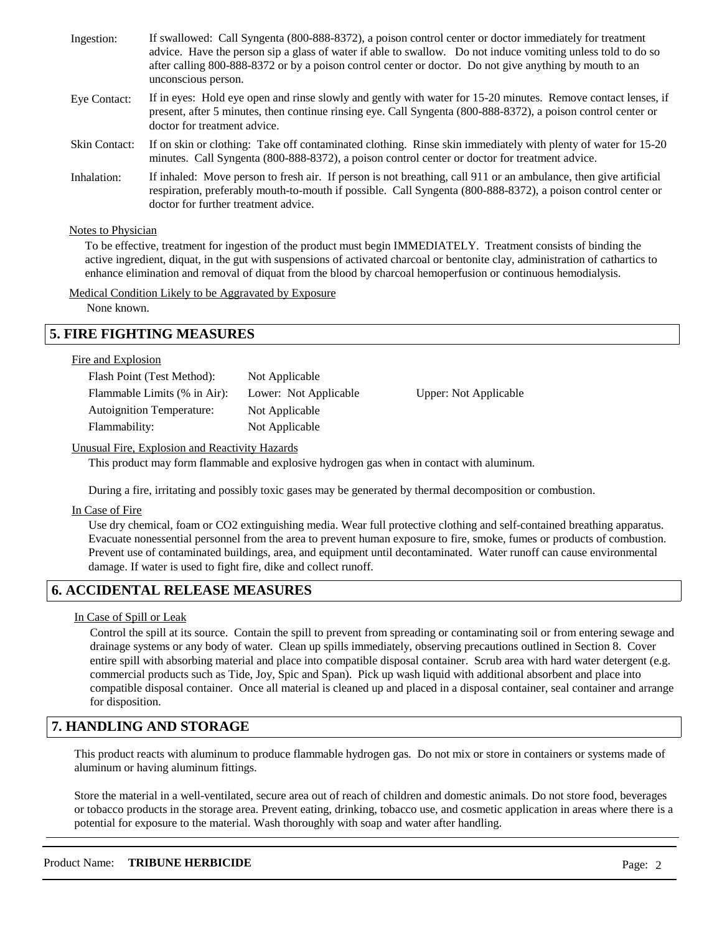| Ingestion:           | If swallowed: Call Syngenta (800-888-8372), a poison control center or doctor immediately for treatment<br>advice. Have the person sip a glass of water if able to swallow. Do not induce vomiting unless told to do so<br>after calling 800-888-8372 or by a poison control center or doctor. Do not give anything by mouth to an<br>unconscious person. |
|----------------------|-----------------------------------------------------------------------------------------------------------------------------------------------------------------------------------------------------------------------------------------------------------------------------------------------------------------------------------------------------------|
| Eye Contact:         | If in eyes: Hold eye open and rinse slowly and gently with water for 15-20 minutes. Remove contact lenses, if<br>present, after 5 minutes, then continue rinsing eye. Call Syngenta (800-888-8372), a poison control center or<br>doctor for treatment advice.                                                                                            |
| <b>Skin Contact:</b> | If on skin or clothing: Take off contaminated clothing. Rinse skin immediately with plenty of water for 15-20<br>minutes. Call Syngenta (800-888-8372), a poison control center or doctor for treatment advice.                                                                                                                                           |
| Inhalation:          | If inhaled: Move person to fresh air. If person is not breathing, call 911 or an ambulance, then give artificial<br>respiration, preferably mouth-to-mouth if possible. Call Syngenta (800-888-8372), a poison control center or<br>doctor for further treatment advice.                                                                                  |

### Notes to Physician

To be effective, treatment for ingestion of the product must begin IMMEDIATELY. Treatment consists of binding the active ingredient, diquat, in the gut with suspensions of activated charcoal or bentonite clay, administration of cathartics to enhance elimination and removal of diquat from the blood by charcoal hemoperfusion or continuous hemodialysis.

### Medical Condition Likely to be Aggravated by Exposure

None known.

# **5. FIRE FIGHTING MEASURES**

### Fire and Explosion

| Flash Point (Test Method):       | Not Applicable        |                       |
|----------------------------------|-----------------------|-----------------------|
| Flammable Limits (% in Air):     | Lower: Not Applicable | Upper: Not Applicable |
| <b>Autoignition Temperature:</b> | Not Applicable        |                       |
| Flammability:                    | Not Applicable        |                       |
|                                  |                       |                       |

### Unusual Fire, Explosion and Reactivity Hazards

This product may form flammable and explosive hydrogen gas when in contact with aluminum.

During a fire, irritating and possibly toxic gases may be generated by thermal decomposition or combustion.

#### In Case of Fire

Use dry chemical, foam or CO2 extinguishing media. Wear full protective clothing and self-contained breathing apparatus. Evacuate nonessential personnel from the area to prevent human exposure to fire, smoke, fumes or products of combustion. Prevent use of contaminated buildings, area, and equipment until decontaminated. Water runoff can cause environmental damage. If water is used to fight fire, dike and collect runoff.

## **6. ACCIDENTAL RELEASE MEASURES**

### In Case of Spill or Leak

Control the spill at its source. Contain the spill to prevent from spreading or contaminating soil or from entering sewage and drainage systems or any body of water. Clean up spills immediately, observing precautions outlined in Section 8. Cover entire spill with absorbing material and place into compatible disposal container. Scrub area with hard water detergent (e.g. commercial products such as Tide, Joy, Spic and Span). Pick up wash liquid with additional absorbent and place into compatible disposal container. Once all material is cleaned up and placed in a disposal container, seal container and arrange for disposition.

# **7. HANDLING AND STORAGE**

This product reacts with aluminum to produce flammable hydrogen gas. Do not mix or store in containers or systems made of aluminum or having aluminum fittings.

Store the material in a well-ventilated, secure area out of reach of children and domestic animals. Do not store food, beverages or tobacco products in the storage area. Prevent eating, drinking, tobacco use, and cosmetic application in areas where there is a potential for exposure to the material. Wash thoroughly with soap and water after handling.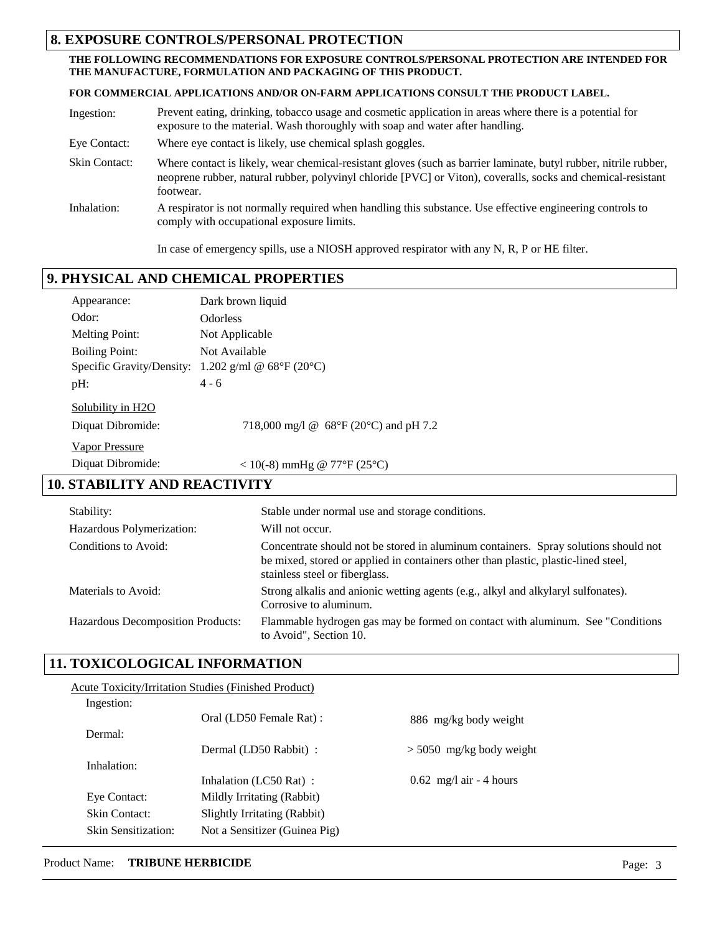# **8. EXPOSURE CONTROLS/PERSONAL PROTECTION**

### **THE FOLLOWING RECOMMENDATIONS FOR EXPOSURE CONTROLS/PERSONAL PROTECTION ARE INTENDED FOR THE MANUFACTURE, FORMULATION AND PACKAGING OF THIS PRODUCT.**

**FOR COMMERCIAL APPLICATIONS AND/OR ON-FARM APPLICATIONS CONSULT THE PRODUCT LABEL.**

| Ingestion:           | Prevent eating, drinking, tobacco usage and cosmetic application in areas where there is a potential for<br>exposure to the material. Wash thoroughly with soap and water after handling.                                                     |
|----------------------|-----------------------------------------------------------------------------------------------------------------------------------------------------------------------------------------------------------------------------------------------|
| Eye Contact:         | Where eye contact is likely, use chemical splash goggles.                                                                                                                                                                                     |
| <b>Skin Contact:</b> | Where contact is likely, wear chemical-resistant gloves (such as barrier laminate, butyl rubber, nitrile rubber,<br>neoprene rubber, natural rubber, polyvinyl chloride [PVC] or Viton), coveralls, socks and chemical-resistant<br>footwear. |
| Inhalation:          | A respirator is not normally required when handling this substance. Use effective engineering controls to<br>comply with occupational exposure limits.                                                                                        |

In case of emergency spills, use a NIOSH approved respirator with any N, R, P or HE filter.

# **9. PHYSICAL AND CHEMICAL PROPERTIES**

| Appearance:                      | Dark brown liquid                                                 |
|----------------------------------|-------------------------------------------------------------------|
| Odor:                            | <b>Odorless</b>                                                   |
| <b>Melting Point:</b>            | Not Applicable                                                    |
| <b>Boiling Point:</b>            | Not Available                                                     |
|                                  | Specific Gravity/Density: 1.202 g/ml @ $68^{\circ}F(20^{\circ}C)$ |
| pH:                              | $4 - 6$                                                           |
| Solubility in H2O                |                                                                   |
| Diquat Dibromide:                | 718,000 mg/l @ $68^{\circ}F(20^{\circ}C)$ and pH 7.2              |
| <b>Vapor Pressure</b>            |                                                                   |
| Diquat Dibromide:                | < 10(-8) mmHg @ 77°F (25°C)                                       |
| <b>STARII ITV AND REACTIVITV</b> |                                                                   |

# **10. STABILITY AND REACTIVITY**

| Stability:                        | Stable under normal use and storage conditions.                                                                                                                                                             |
|-----------------------------------|-------------------------------------------------------------------------------------------------------------------------------------------------------------------------------------------------------------|
| Hazardous Polymerization:         | Will not occur.                                                                                                                                                                                             |
| Conditions to Avoid:              | Concentrate should not be stored in aluminum containers. Spray solutions should not<br>be mixed, stored or applied in containers other than plastic, plastic-lined steel,<br>stainless steel or fiberglass. |
| Materials to Avoid:               | Strong alkalis and anionic wetting agents (e.g., alkyl and alkylaryl sulfonates).<br>Corrosive to aluminum.                                                                                                 |
| Hazardous Decomposition Products: | Flammable hydrogen gas may be formed on contact with aluminum. See "Conditions"<br>to Avoid", Section 10.                                                                                                   |

# **11. TOXICOLOGICAL INFORMATION**

| Acute Toxicity/Irritation Studies (Finished Product) |                               |                                           |
|------------------------------------------------------|-------------------------------|-------------------------------------------|
| Ingestion:                                           |                               |                                           |
|                                                      | Oral (LD50 Female Rat) :      | 886 mg/kg body weight                     |
| Dermal:                                              |                               |                                           |
|                                                      | Dermal (LD50 Rabbit) :        | $> 5050$ mg/kg body weight                |
| Inhalation:                                          |                               |                                           |
|                                                      | Inhalation (LC50 Rat):        | $0.62 \text{ mg/l air} - 4 \text{ hours}$ |
| Eye Contact:                                         | Mildly Irritating (Rabbit)    |                                           |
| <b>Skin Contact:</b>                                 | Slightly Irritating (Rabbit)  |                                           |
| Skin Sensitization:                                  | Not a Sensitizer (Guinea Pig) |                                           |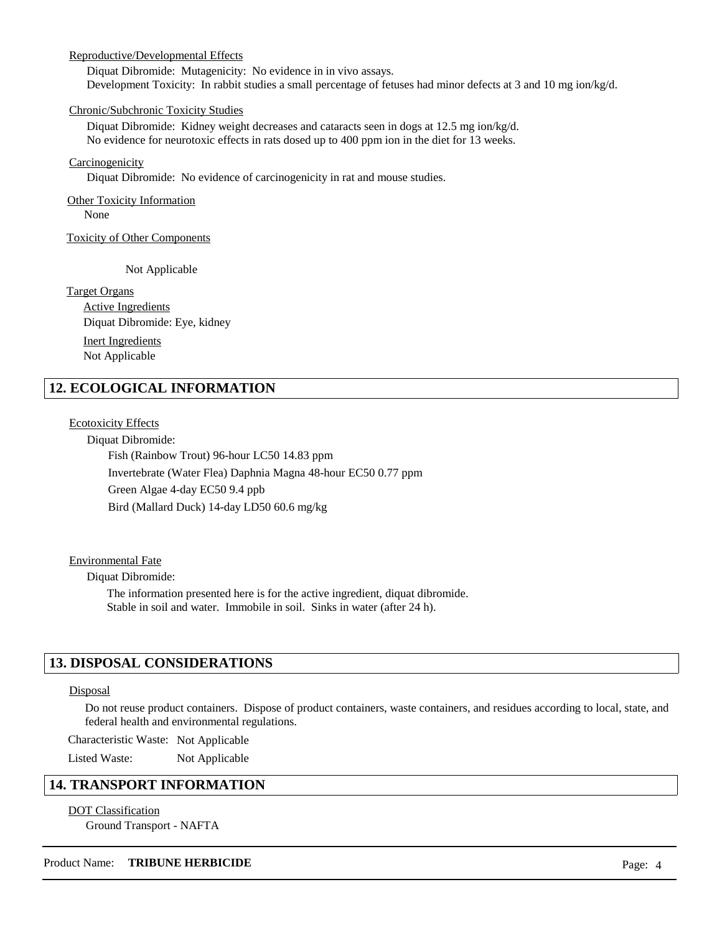### Reproductive/Developmental Effects

Diquat Dibromide: Mutagenicity: No evidence in in vivo assays. Development Toxicity: In rabbit studies a small percentage of fetuses had minor defects at 3 and 10 mg ion/kg/d.

### Chronic/Subchronic Toxicity Studies

Diquat Dibromide: Kidney weight decreases and cataracts seen in dogs at 12.5 mg ion/kg/d. No evidence for neurotoxic effects in rats dosed up to 400 ppm ion in the diet for 13 weeks.

#### Carcinogenicity

Diquat Dibromide: No evidence of carcinogenicity in rat and mouse studies.

# **Other Toxicity Information**

None

Toxicity of Other Components

Not Applicable

### Target Organs

Active Ingredients Inert Ingredients Diquat Dibromide: Eye, kidney Not Applicable

# **12. ECOLOGICAL INFORMATION**

## Ecotoxicity Effects

Diquat Dibromide:

Fish (Rainbow Trout) 96-hour LC50 14.83 ppm Invertebrate (Water Flea) Daphnia Magna 48-hour EC50 0.77 ppm Green Algae 4-day EC50 9.4 ppb Bird (Mallard Duck) 14-day LD50 60.6 mg/kg

### Environmental Fate

Diquat Dibromide:

The information presented here is for the active ingredient, diquat dibromide. Stable in soil and water. Immobile in soil. Sinks in water (after 24 h).

## **13. DISPOSAL CONSIDERATIONS**

### Disposal

Do not reuse product containers. Dispose of product containers, waste containers, and residues according to local, state, and federal health and environmental regulations.

Characteristic Waste: Not Applicable

Listed Waste: Not Applicable

## **14. TRANSPORT INFORMATION**

### DOT Classification Ground Transport - NAFTA

### Product Name: **TRIBUNE HERBICIDE** Page: 4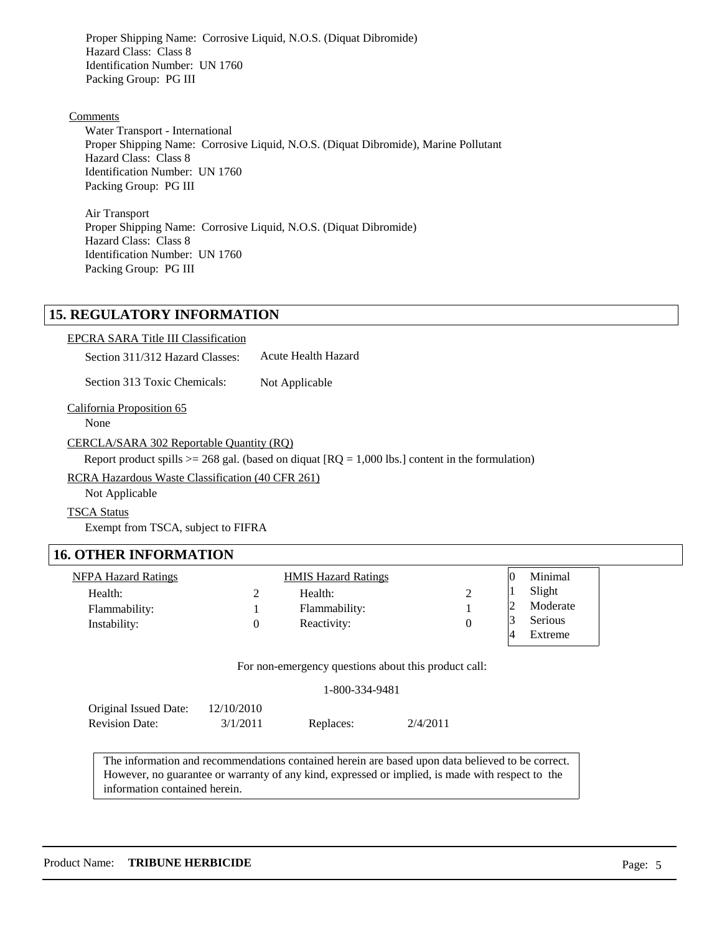Proper Shipping Name: Corrosive Liquid, N.O.S. (Diquat Dibromide) Hazard Class: Class 8 Identification Number: UN 1760 Packing Group: PG III

### Comments

Water Transport - International Proper Shipping Name: Corrosive Liquid, N.O.S. (Diquat Dibromide), Marine Pollutant Hazard Class: Class 8 Identification Number: UN 1760 Packing Group: PG III

Air Transport Proper Shipping Name: Corrosive Liquid, N.O.S. (Diquat Dibromide) Hazard Class: Class 8 Identification Number: UN 1760 Packing Group: PG III

## **15. REGULATORY INFORMATION**

EPCRA SARA Title III Classification

Section 311/312 Hazard Classes: Acute Health Hazard

Section 313 Toxic Chemicals: Not Applicable

California Proposition 65

None

CERCLA/SARA 302 Reportable Quantity (RQ)

Report product spills  $>= 268$  gal. (based on diquat  $[RQ = 1,000$  lbs.) content in the formulation)

RCRA Hazardous Waste Classification (40 CFR 261)

Not Applicable

TSCA Status

Exempt from TSCA, subject to FIFRA

### **16. OTHER INFORMATION**

| NFPA Hazard Ratings | <b>HMIS Hazard Ratings</b> |  | Minimal        |
|---------------------|----------------------------|--|----------------|
| Health:             | Health:                    |  | Slight         |
| Flammability:       | Flammability:              |  | Moderate       |
| Instability:        | Reactivity:                |  | <b>Serious</b> |
|                     |                            |  | Extreme        |

For non-emergency questions about this product call:

| 1-800-334-9481 |  |
|----------------|--|
|----------------|--|

| Original Issued Date: | 12/10/2010 |           |          |
|-----------------------|------------|-----------|----------|
| <b>Revision Date:</b> | 3/1/2011   | Replaces: | 2/4/2011 |

 The information and recommendations contained herein are based upon data believed to be correct. However, no guarantee or warranty of any kind, expressed or implied, is made with respect to the information contained herein.